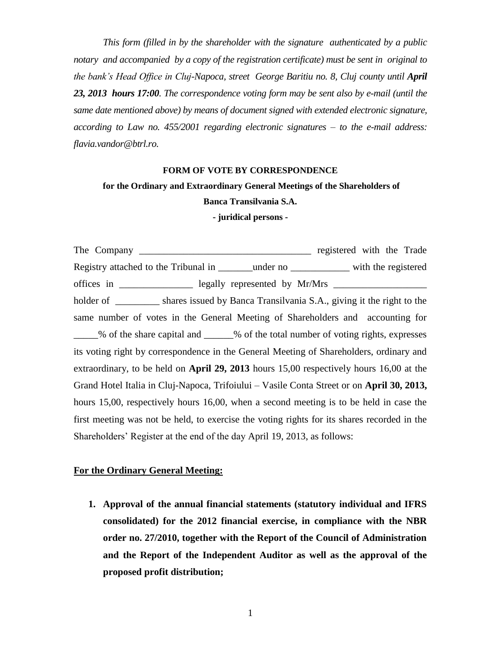*This form (filled in by the shareholder with the signature authenticated by a public notary and accompanied by a copy of the registration certificate) must be sent in original to the bank's Head Office in Cluj-Napoca, street George Baritiu no. 8, Cluj county until April 23, 2013 hours 17:00. The correspondence voting form may be sent also by e-mail (until the same date mentioned above) by means of document signed with extended electronic signature, according to Law no. 455/2001 regarding electronic signatures – to the e-mail address: [flavia.vandor@btrl.ro.](mailto:flavia.vandor@btrl.ro)*

#### **FORM OF VOTE BY CORRESPONDENCE**

# **for the Ordinary and Extraordinary General Meetings of the Shareholders of**

### **Banca Transilvania S.A.**

#### **- juridical persons -**

The Company \_\_\_\_\_\_\_\_\_\_\_\_\_\_\_\_\_\_\_\_\_\_\_\_\_\_\_\_\_\_\_\_\_\_\_ registered with the Trade Registry attached to the Tribunal in The under no with the registered offices in \_\_\_\_\_\_\_\_\_\_\_\_\_\_\_\_\_\_ legally represented by Mr/Mrs \_\_\_\_\_\_\_\_\_\_\_\_\_\_\_\_\_\_\_\_ holder of \_\_\_\_\_\_\_\_\_\_ shares issued by Banca Transilvania S.A., giving it the right to the same number of votes in the General Meeting of Shareholders and accounting for % of the share capital and % of the total number of voting rights, expresses its voting right by correspondence in the General Meeting of Shareholders, ordinary and extraordinary, to be held on **April 29, 2013** hours 15,00 respectively hours 16,00 at the Grand Hotel Italia in Cluj-Napoca, Trifoiului – Vasile Conta Street or on **April 30, 2013,** hours 15,00, respectively hours 16,00, when a second meeting is to be held in case the first meeting was not be held, to exercise the voting rights for its shares recorded in the Shareholders' Register at the end of the day April 19, 2013, as follows:

## **For the Ordinary General Meeting:**

**1. Approval of the annual financial statements (statutory individual and IFRS consolidated) for the 2012 financial exercise, in compliance with the NBR order no. 27/2010, together with the Report of the Council of Administration and the Report of the Independent Auditor as well as the approval of the proposed profit distribution;**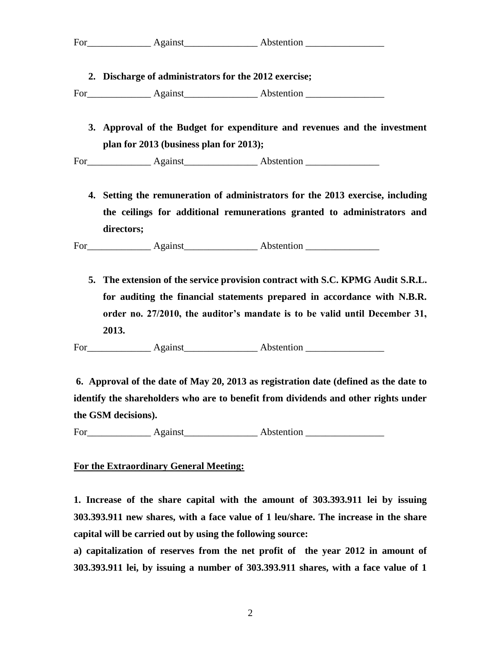**2. Discharge of administrators for the 2012 exercise;** 

For Against Abstention

**3. Approval of the Budget for expenditure and revenues and the investment plan for 2013 (business plan for 2013);** 

For Against Against Abstention **Abstention** 

**4. Setting the remuneration of administrators for the 2013 exercise, including the ceilings for additional remunerations granted to administrators and directors;** 

For\_\_\_\_\_\_\_\_\_\_\_\_\_ Against\_\_\_\_\_\_\_\_\_\_\_\_\_\_\_ Abstention \_\_\_\_\_\_\_\_\_\_\_\_\_\_\_

**5. The extension of the service provision contract with S.C. KPMG Audit S.R.L. for auditing the financial statements prepared in accordance with N.B.R. order no. 27/2010, the auditor's mandate is to be valid until December 31, 2013.**

For Against Abstention **Abstention** 

**6. Approval of the date of May 20, 2013 as registration date (defined as the date to identify the shareholders who are to benefit from dividends and other rights under the GSM decisions).** 

For Against Abstention **Abstention** 

## **For the Extraordinary General Meeting:**

**1. Increase of the share capital with the amount of 303.393.911 lei by issuing 303.393.911 new shares, with a face value of 1 leu/share. The increase in the share capital will be carried out by using the following source:**

**a) capitalization of reserves from the net profit of the year 2012 in amount of 303.393.911 lei, by issuing a number of 303.393.911 shares, with a face value of 1**